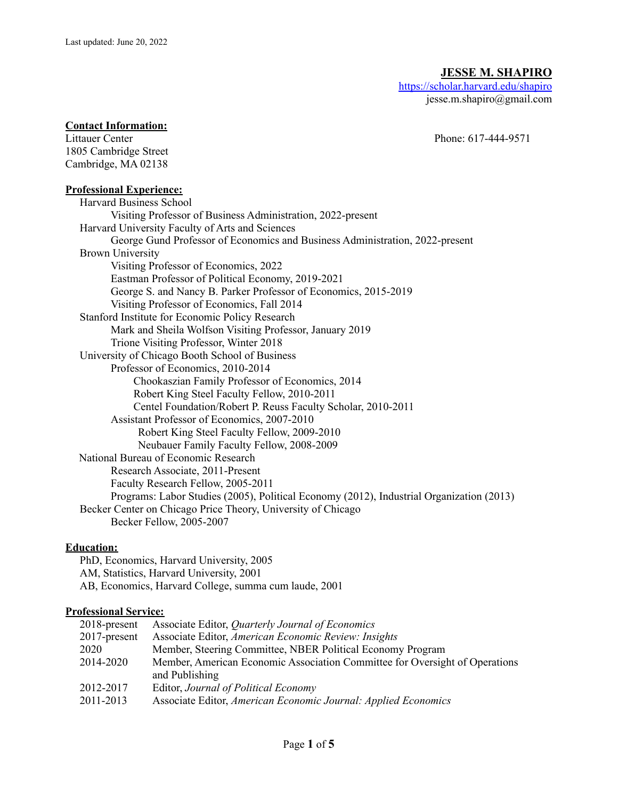#### **JESSE M. SHAPIRO**

<https://scholar.harvard.edu/shapiro> jesse.m.shapiro@gmail.com

Phone: 617-444-9571

# **Contact Information:**

1805 Cambridge Street Cambridge, MA 02138

**Professional Experience:**

| Visiting Professor of Business Administration, 2022-present<br>Harvard University Faculty of Arts and Sciences<br>George Gund Professor of Economics and Business Administration, 2022-present<br><b>Brown University</b><br>Visiting Professor of Economics, 2022<br>Eastman Professor of Political Economy, 2019-2021<br>George S. and Nancy B. Parker Professor of Economics, 2015-2019<br>Visiting Professor of Economics, Fall 2014<br>Stanford Institute for Economic Policy Research<br>Mark and Sheila Wolfson Visiting Professor, January 2019<br>Trione Visiting Professor, Winter 2018<br>University of Chicago Booth School of Business<br>Professor of Economics, 2010-2014<br>Chookaszian Family Professor of Economics, 2014<br>Robert King Steel Faculty Fellow, 2010-2011<br>Centel Foundation/Robert P. Reuss Faculty Scholar, 2010-2011<br>Assistant Professor of Economics, 2007-2010<br>Robert King Steel Faculty Fellow, 2009-2010<br>Neubauer Family Faculty Fellow, 2008-2009 |
|-------------------------------------------------------------------------------------------------------------------------------------------------------------------------------------------------------------------------------------------------------------------------------------------------------------------------------------------------------------------------------------------------------------------------------------------------------------------------------------------------------------------------------------------------------------------------------------------------------------------------------------------------------------------------------------------------------------------------------------------------------------------------------------------------------------------------------------------------------------------------------------------------------------------------------------------------------------------------------------------------------|
|                                                                                                                                                                                                                                                                                                                                                                                                                                                                                                                                                                                                                                                                                                                                                                                                                                                                                                                                                                                                       |
|                                                                                                                                                                                                                                                                                                                                                                                                                                                                                                                                                                                                                                                                                                                                                                                                                                                                                                                                                                                                       |
|                                                                                                                                                                                                                                                                                                                                                                                                                                                                                                                                                                                                                                                                                                                                                                                                                                                                                                                                                                                                       |
|                                                                                                                                                                                                                                                                                                                                                                                                                                                                                                                                                                                                                                                                                                                                                                                                                                                                                                                                                                                                       |
|                                                                                                                                                                                                                                                                                                                                                                                                                                                                                                                                                                                                                                                                                                                                                                                                                                                                                                                                                                                                       |
|                                                                                                                                                                                                                                                                                                                                                                                                                                                                                                                                                                                                                                                                                                                                                                                                                                                                                                                                                                                                       |
|                                                                                                                                                                                                                                                                                                                                                                                                                                                                                                                                                                                                                                                                                                                                                                                                                                                                                                                                                                                                       |
|                                                                                                                                                                                                                                                                                                                                                                                                                                                                                                                                                                                                                                                                                                                                                                                                                                                                                                                                                                                                       |
|                                                                                                                                                                                                                                                                                                                                                                                                                                                                                                                                                                                                                                                                                                                                                                                                                                                                                                                                                                                                       |
|                                                                                                                                                                                                                                                                                                                                                                                                                                                                                                                                                                                                                                                                                                                                                                                                                                                                                                                                                                                                       |
|                                                                                                                                                                                                                                                                                                                                                                                                                                                                                                                                                                                                                                                                                                                                                                                                                                                                                                                                                                                                       |
|                                                                                                                                                                                                                                                                                                                                                                                                                                                                                                                                                                                                                                                                                                                                                                                                                                                                                                                                                                                                       |
|                                                                                                                                                                                                                                                                                                                                                                                                                                                                                                                                                                                                                                                                                                                                                                                                                                                                                                                                                                                                       |
|                                                                                                                                                                                                                                                                                                                                                                                                                                                                                                                                                                                                                                                                                                                                                                                                                                                                                                                                                                                                       |
|                                                                                                                                                                                                                                                                                                                                                                                                                                                                                                                                                                                                                                                                                                                                                                                                                                                                                                                                                                                                       |
|                                                                                                                                                                                                                                                                                                                                                                                                                                                                                                                                                                                                                                                                                                                                                                                                                                                                                                                                                                                                       |
|                                                                                                                                                                                                                                                                                                                                                                                                                                                                                                                                                                                                                                                                                                                                                                                                                                                                                                                                                                                                       |
|                                                                                                                                                                                                                                                                                                                                                                                                                                                                                                                                                                                                                                                                                                                                                                                                                                                                                                                                                                                                       |
|                                                                                                                                                                                                                                                                                                                                                                                                                                                                                                                                                                                                                                                                                                                                                                                                                                                                                                                                                                                                       |
| National Bureau of Economic Research                                                                                                                                                                                                                                                                                                                                                                                                                                                                                                                                                                                                                                                                                                                                                                                                                                                                                                                                                                  |
| Research Associate, 2011-Present                                                                                                                                                                                                                                                                                                                                                                                                                                                                                                                                                                                                                                                                                                                                                                                                                                                                                                                                                                      |
| Faculty Research Fellow, 2005-2011                                                                                                                                                                                                                                                                                                                                                                                                                                                                                                                                                                                                                                                                                                                                                                                                                                                                                                                                                                    |
| Programs: Labor Studies (2005), Political Economy (2012), Industrial Organization (2013)                                                                                                                                                                                                                                                                                                                                                                                                                                                                                                                                                                                                                                                                                                                                                                                                                                                                                                              |
| Becker Center on Chicago Price Theory, University of Chicago                                                                                                                                                                                                                                                                                                                                                                                                                                                                                                                                                                                                                                                                                                                                                                                                                                                                                                                                          |
|                                                                                                                                                                                                                                                                                                                                                                                                                                                                                                                                                                                                                                                                                                                                                                                                                                                                                                                                                                                                       |

# **Education:**

PhD, Economics, Harvard University, 2005 AM, Statistics, Harvard University, 2001 AB, Economics, Harvard College, summa cum laude, 2001

#### **Professional Service:**

| 2018-present    | Associate Editor, <i>Quarterly Journal of Economics</i>                     |
|-----------------|-----------------------------------------------------------------------------|
| $2017$ -present | Associate Editor, American Economic Review: Insights                        |
| 2020            | Member, Steering Committee, NBER Political Economy Program                  |
| 2014-2020       | Member, American Economic Association Committee for Oversight of Operations |
|                 | and Publishing                                                              |
| 2012-2017       | Editor, Journal of Political Economy                                        |
| 2011-2013       | Associate Editor, American Economic Journal: Applied Economics              |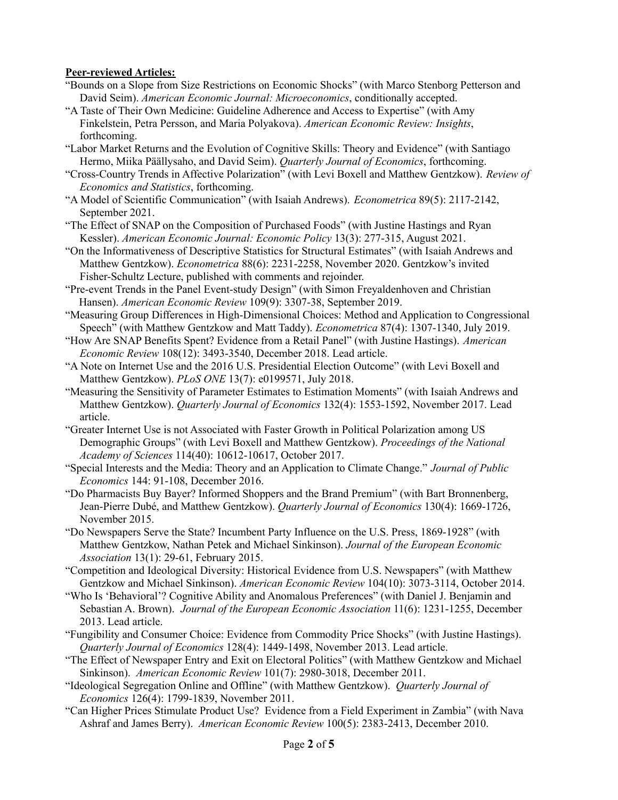#### **Peer-reviewed Articles:**

- "Bounds on a Slope from Size Restrictions on Economic Shocks" (with Marco Stenborg Petterson and David Seim). *American Economic Journal: Microeconomics*, conditionally accepted.
- "A Taste of Their Own Medicine: Guideline Adherence and Access to Expertise" (with Amy Finkelstein, Petra Persson, and Maria Polyakova). *American Economic Review: Insights*, forthcoming.
- "Labor Market Returns and the Evolution of Cognitive Skills: Theory and Evidence" (with Santiago Hermo, Miika Päällysaho, and David Seim). *Quarterly Journal of Economics*, forthcoming.
- "Cross-Country Trends in Affective Polarization" (with Levi Boxell and Matthew Gentzkow). *Review of Economics and Statistics*, forthcoming.
- "A Model of Scientific Communication" (with Isaiah Andrews). *Econometrica* 89(5): 2117-2142, September 2021.
- "The Effect of SNAP on the Composition of Purchased Foods" (with Justine Hastings and Ryan Kessler). *American Economic Journal: Economic Policy* 13(3): 277-315, August 2021.
- "On the Informativeness of Descriptive Statistics for Structural Estimates" (with Isaiah Andrews and Matthew Gentzkow). *Econometrica* 88(6): 2231-2258, November 2020. Gentzkow's invited Fisher-Schultz Lecture, published with comments and rejoinder.
- "Pre-event Trends in the Panel Event-study Design" (with Simon Freyaldenhoven and Christian Hansen). *American Economic Review* 109(9): 3307-38, September 2019.
- "Measuring Group Differences in High-Dimensional Choices: Method and Application to Congressional Speech" (with Matthew Gentzkow and Matt Taddy). *Econometrica* 87(4): 1307-1340, July 2019.
- "How Are SNAP Benefits Spent? Evidence from a Retail Panel" (with Justine Hastings). *American Economic Review* 108(12): 3493-3540, December 2018. Lead article.
- "A Note on Internet Use and the 2016 U.S. Presidential Election Outcome" (with Levi Boxell and Matthew Gentzkow). *PLoS ONE* 13(7): e0199571, July 2018.
- "Measuring the Sensitivity of Parameter Estimates to Estimation Moments" (with Isaiah Andrews and Matthew Gentzkow). *Quarterly Journal of Economics* 132(4): 1553-1592, November 2017. Lead article.
- "Greater Internet Use is not Associated with Faster Growth in Political Polarization among US Demographic Groups" (with Levi Boxell and Matthew Gentzkow). *Proceedings of the National Academy of Sciences* 114(40): 10612-10617, October 2017.
- "Special Interests and the Media: Theory and an Application to Climate Change." *Journal of Public Economics* 144: 91-108, December 2016.
- "Do Pharmacists Buy Bayer? Informed Shoppers and the Brand Premium" (with Bart Bronnenberg, Jean-Pierre Dubé, and Matthew Gentzkow). *Quarterly Journal of Economics* 130(4): 1669-1726, November 2015.
- "Do Newspapers Serve the State? Incumbent Party Influence on the U.S. Press, 1869-1928" (with Matthew Gentzkow, Nathan Petek and Michael Sinkinson). *Journal of the European Economic Association* 13(1): 29-61, February 2015.
- "Competition and Ideological Diversity: Historical Evidence from U.S. Newspapers" (with Matthew Gentzkow and Michael Sinkinson). *American Economic Review* 104(10): 3073-3114, October 2014.
- "Who Is 'Behavioral'? Cognitive Ability and Anomalous Preferences" (with Daniel J. Benjamin and Sebastian A. Brown). *Journal of the European Economic Association* 11(6): 1231-1255, December 2013. Lead article.
- "Fungibility and Consumer Choice: Evidence from Commodity Price Shocks" (with Justine Hastings). *Quarterly Journal of Economics* 128(4): 1449-1498, November 2013. Lead article.
- "The Effect of Newspaper Entry and Exit on Electoral Politics" (with Matthew Gentzkow and Michael Sinkinson). *American Economic Review* 101(7): 2980-3018, December 2011.
- "Ideological Segregation Online and Offline" (with Matthew Gentzkow). *Quarterly Journal of Economics* 126(4): 1799-1839, November 2011.
- "Can Higher Prices Stimulate Product Use? Evidence from a Field Experiment in Zambia" (with Nava Ashraf and James Berry). *American Economic Review* 100(5): 2383-2413, December 2010.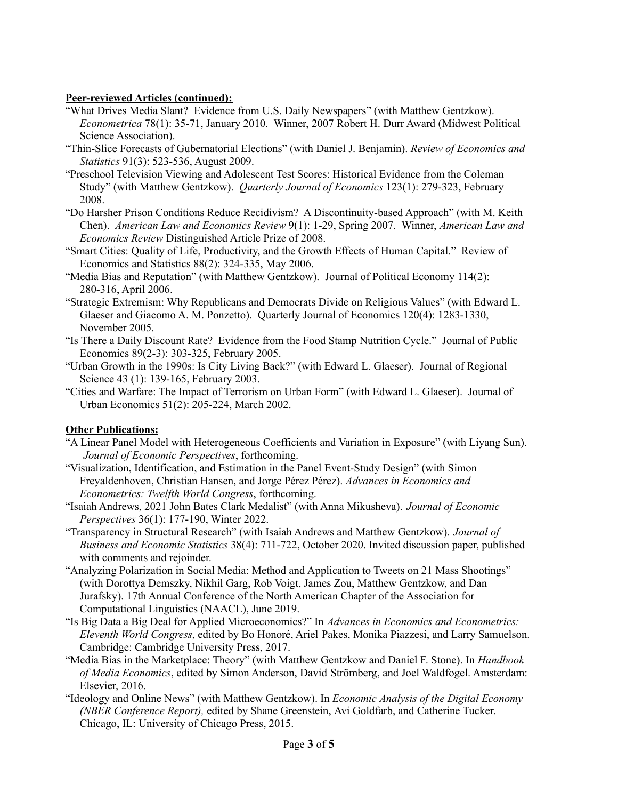#### **Peer-reviewed Articles (continued):**

- "What Drives Media Slant? Evidence from U.S. Daily Newspapers" (with Matthew Gentzkow). *Econometrica* 78(1): 35-71, January 2010. Winner, 2007 Robert H. Durr Award (Midwest Political Science Association).
- "Thin-Slice Forecasts of Gubernatorial Elections" (with Daniel J. Benjamin). *Review of Economics and Statistics* 91(3): 523-536, August 2009.
- "Preschool Television Viewing and Adolescent Test Scores: Historical Evidence from the Coleman Study" (with Matthew Gentzkow). *Quarterly Journal of Economics* 123(1): 279-323, February 2008.
- "Do Harsher Prison Conditions Reduce Recidivism? A Discontinuity-based Approach" (with M. Keith Chen). *American Law and Economics Review* 9(1): 1-29, Spring 2007. Winner, *American Law and Economics Review* Distinguished Article Prize of 2008.
- "Smart Cities: Quality of Life, Productivity, and the Growth Effects of Human Capital." Review of Economics and Statistics 88(2): 324-335, May 2006.
- "Media Bias and Reputation" (with Matthew Gentzkow). Journal of Political Economy 114(2): 280-316, April 2006.
- "Strategic Extremism: Why Republicans and Democrats Divide on Religious Values" (with Edward L. Glaeser and Giacomo A. M. Ponzetto). Quarterly Journal of Economics 120(4): 1283-1330, November 2005.
- "Is There a Daily Discount Rate? Evidence from the Food Stamp Nutrition Cycle." Journal of Public Economics 89(2-3): 303-325, February 2005.
- "Urban Growth in the 1990s: Is City Living Back?" (with Edward L. Glaeser). Journal of Regional Science 43 (1): 139-165, February 2003.
- "Cities and Warfare: The Impact of Terrorism on Urban Form" (with Edward L. Glaeser). Journal of Urban Economics 51(2): 205-224, March 2002.

# **Other Publications:**

- "A Linear Panel Model with Heterogeneous Coefficients and Variation in Exposure" (with Liyang Sun). *Journal of Economic Perspectives*, forthcoming.
- "Visualization, Identification, and Estimation in the Panel Event-Study Design" (with Simon Freyaldenhoven, Christian Hansen, and Jorge Pérez Pérez). *Advances in Economics and Econometrics: Twelfth World Congress*, forthcoming.
- "Isaiah Andrews, 2021 John Bates Clark Medalist" (with Anna Mikusheva). *Journal of Economic Perspectives* 36(1): 177-190, Winter 2022.
- "Transparency in Structural Research" (with Isaiah Andrews and Matthew Gentzkow). *Journal of Business and Economic Statistics* 38(4): 711-722, October 2020. Invited discussion paper, published with comments and rejoinder.
- "Analyzing Polarization in Social Media: Method and Application to Tweets on 21 Mass Shootings" (with Dorottya Demszky, Nikhil Garg, Rob Voigt, James Zou, Matthew Gentzkow, and Dan Jurafsky). 17th Annual Conference of the North American Chapter of the Association for Computational Linguistics (NAACL), June 2019.
- "Is Big Data a Big Deal for Applied Microeconomics?" In *Advances in Economics and Econometrics: Eleventh World Congress*, edited by Bo Honoré, Ariel Pakes, Monika Piazzesi, and Larry Samuelson. Cambridge: Cambridge University Press, 2017.
- "Media Bias in the Marketplace: Theory" (with Matthew Gentzkow and Daniel F. Stone). In *Handbook of Media Economics*, edited by Simon Anderson, David Strömberg, and Joel Waldfogel. Amsterdam: Elsevier, 2016.
- "Ideology and Online News" (with Matthew Gentzkow). In *Economic Analysis of the Digital Economy (NBER Conference Report),* edited by Shane Greenstein, Avi Goldfarb, and Catherine Tucker. Chicago, IL: University of Chicago Press, 2015.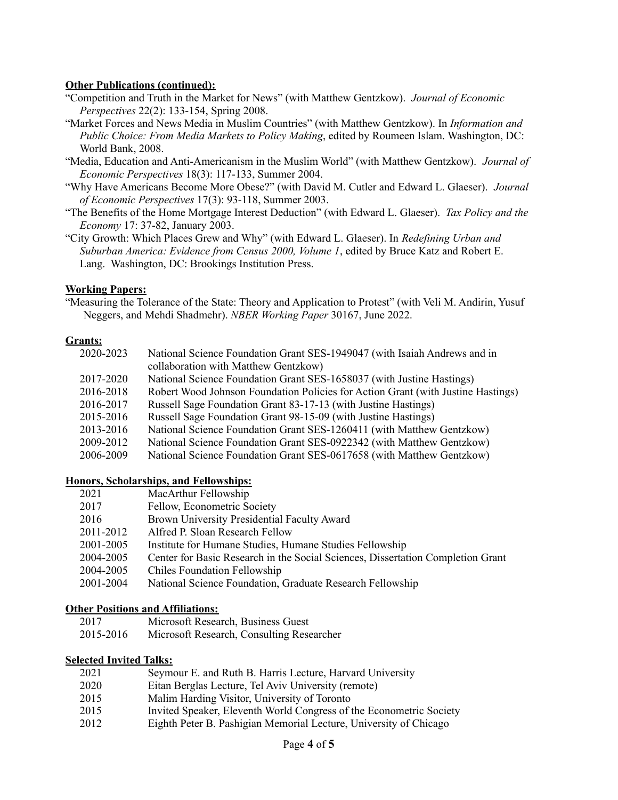#### **Other Publications (continued):**

- "Competition and Truth in the Market for News" (with Matthew Gentzkow). *Journal of Economic Perspectives* 22(2): 133-154, Spring 2008.
- "Market Forces and News Media in Muslim Countries" (with Matthew Gentzkow). In *Information and Public Choice: From Media Markets to Policy Making*, edited by Roumeen Islam. Washington, DC: World Bank, 2008.
- "Media, Education and Anti-Americanism in the Muslim World" (with Matthew Gentzkow). *Journal of Economic Perspectives* 18(3): 117-133, Summer 2004.
- "Why Have Americans Become More Obese?" (with David M. Cutler and Edward L. Glaeser). *Journal of Economic Perspectives* 17(3): 93-118, Summer 2003.
- "The Benefits of the Home Mortgage Interest Deduction" (with Edward L. Glaeser). *Tax Policy and the Economy* 17: 37-82, January 2003.
- "City Growth: Which Places Grew and Why" (with Edward L. Glaeser). In *Redefining Urban and Suburban America: Evidence from Census 2000, Volume 1*, edited by Bruce Katz and Robert E. Lang. Washington, DC: Brookings Institution Press.

#### **Working Papers:**

"Measuring the Tolerance of the State: Theory and Application to Protest" (with Veli M. Andirin, Yusuf Neggers, and Mehdi Shadmehr). *NBER Working Paper* 30167, June 2022.

#### **Grants:**

| 2020-2023 | National Science Foundation Grant SES-1949047 (with Isaiah Andrews and in        |
|-----------|----------------------------------------------------------------------------------|
|           | collaboration with Matthew Gentzkow)                                             |
| 2017-2020 | National Science Foundation Grant SES-1658037 (with Justine Hastings)            |
| 2016-2018 | Robert Wood Johnson Foundation Policies for Action Grant (with Justine Hastings) |
| 2016-2017 | Russell Sage Foundation Grant 83-17-13 (with Justine Hastings)                   |
| 2015-2016 | Russell Sage Foundation Grant 98-15-09 (with Justine Hastings)                   |
| 2013-2016 | National Science Foundation Grant SES-1260411 (with Matthew Gentzkow)            |
| 2009-2012 | National Science Foundation Grant SES-0922342 (with Matthew Gentzkow)            |
| 2006-2009 | National Science Foundation Grant SES-0617658 (with Matthew Gentzkow)            |

# **Honors, Scholarships, and Fellowships:**

| 2021      | MacArthur Fellowship                                                            |
|-----------|---------------------------------------------------------------------------------|
| 2017      | Fellow, Econometric Society                                                     |
| 2016      | Brown University Presidential Faculty Award                                     |
| 2011-2012 | Alfred P. Sloan Research Fellow                                                 |
| 2001-2005 | Institute for Humane Studies, Humane Studies Fellowship                         |
| 2004-2005 | Center for Basic Research in the Social Sciences, Dissertation Completion Grant |
| 2004-2005 | <b>Chiles Foundation Fellowship</b>                                             |
| 2001-2004 | National Science Foundation, Graduate Research Fellowship                       |
|           |                                                                                 |

#### **Other Positions and Affiliations:**

| 2017 | Microsoft Research, Business Guest |
|------|------------------------------------|
|------|------------------------------------|

2015-2016 Microsoft Research, Consulting Researcher

# **Selected Invited Talks:**

- 2021 Seymour E. and Ruth B. Harris Lecture, Harvard University
- 2020 Eitan Berglas Lecture, Tel Aviv University (remote)
- 2015 Malim Harding Visitor, University of Toronto
- 2015 Invited Speaker, Eleventh World Congress of the Econometric Society
- 2012 Eighth Peter B. Pashigian Memorial Lecture, University of Chicago